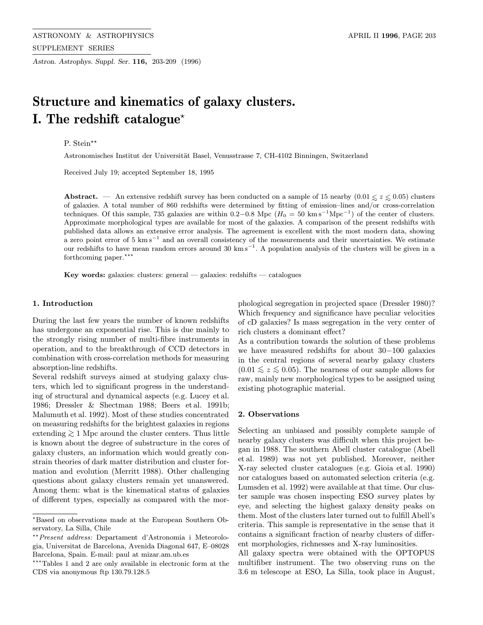Astron. Astrophys. Suppl. Ser. 116, 203-209 (1996)

# Structure and kinematics of galaxy clusters. I. The redshift catalogue<sup> $\star$ </sup>

# P. Stein\*\*

Astronomisches Institut der Universität Basel, Venusstrasse 7, CH-4102 Binningen, Switzerland

Received July 19; accepted September 18, 1995

Abstract. — An extensive redshift survey has been conducted on a sample of 15 nearby  $(0.01 \le z \le 0.05)$  clusters of solveign and  $\alpha$  and  $\alpha$  and  $\alpha$  and  $\alpha$  and  $\alpha$  and  $\alpha$  and  $\alpha$  and  $\alpha$  and  $\alpha$  and  $\alpha$  and  $\$ of galaxies. A total number of 860 redshifts were determined by fitting of emission–lines and/or cross-correlation techniques. Of this sample, 735 galaxies are within 0.2−0.8 Mpc ( $H_0 = 50 \text{ km s}^{-1} \text{Mpc}^{-1}$ ) of the center of clusters. Approximate morphological types are available for most of the galaxies. A comparison of the present redshifts with published data allows an extensive error analysis. The agreement is excellent with the most modern data, showing a zero point error of 5 km s−<sup>1</sup> and an overall consistency of the measurements and their uncertainties. We estimate our redshifts to have mean random errors around 30 km s−<sup>1</sup>. A population analysis of the clusters will be given in a forthcoming paper.\*\*\*

Key words: galaxies: clusters: general — galaxies: redshifts — catalogues

## 1. Introduction

During the last few years the number of known redshifts has undergone an exponential rise. This is due mainly to the strongly rising number of multi-fibre instruments in operation, and to the breakthrough of CCD detectors in combination with cross-correlation methods for measuring absorption-line redshifts.

Several redshift surveys aimed at studying galaxy clusters, which led to significant progress in the understanding of structural and dynamical aspects (e.g. Lucey et al. 1986; Dressler & Shectman 1988; Beers et al. 1991b; Malumuth et al. 1992). Most of these studies concentrated on measuring redshifts for the brightest galaxies in regions extending  $\geq 1$  Mpc around the cluster centers. Thus little is known about the degree of substructure in the cores of galaxy clusters, an information which would greatly constrain theories of dark matter distribution and cluster formation and evolution (Merritt 1988). Other challenging questions about galaxy clusters remain yet unanswered. Among them: what is the kinematical status of galaxies of different types, especially as compared with the morphological segregation in projected space (Dressler 1980)? Which frequency and significance have peculiar velocities of cD galaxies? Is mass segregation in the very center of rich clusters a dominant effect?

As a contribution towards the solution of these problems we have measured redshifts for about 30−100 galaxies in the central regions of several nearby galaxy clusters  $(0.01 \leq z \leq 0.05)$ . The nearness of our sample allows for raw, mainly new morphological types to be assigned using existing photographic material.

## 2. Observations

Selecting an unbiased and possibly complete sample of nearby galaxy clusters was difficult when this project began in 1988. The southern Abell cluster catalogue (Abell et al. 1989) was not yet published. Moreover, neither X-ray selected cluster catalogues (e.g. Gioia et al. 1990) nor catalogues based on automated selection criteria (e.g. Lumsden et al. 1992) were available at that time. Our cluster sample was chosen inspecting ESO survey plates by eye, and selecting the highest galaxy density peaks on them. Most of the clusters later turned out to fulfill Abell's criteria. This sample is representative in the sense that it contains a significant fraction of nearby clusters of different morphologies, richnesses and X-ray luminosities.

All galaxy spectra were obtained with the OPTOPUS multifiber instrument. The two observing runs on the 3.6 m telescope at ESO, La Silla, took place in August,

<sup>?</sup>Based on observations made at the European Southern Observatory, La Silla, Chile

<sup>??</sup>Present address: Departament d'Astronomia i Meteorologia, Universitat de Barcelona, Avenida Diagonal 647, E–08028 Barcelona, Spain. E-mail: paul at mizar.am.ub.es

<sup>\*\*\*</sup>Tables 1 and 2 are only available in electronic form at the CDS via anonymous ftp 130.79.128.5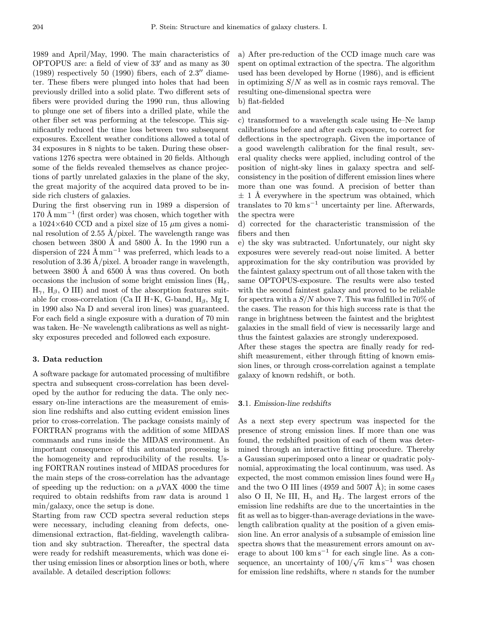1989 and April/May, 1990. The main characteristics of OPTOPUS are: a field of view of  $33'$  and as many as  $30$  $(1989)$  respectively 50  $(1990)$  fibers, each of  $2.3''$  diameter. These fibers were plunged into holes that had been previously drilled into a solid plate. Two different sets of fibers were provided during the 1990 run, thus allowing to plunge one set of fibers into a drilled plate, while the other fiber set was performing at the telescope. This significantly reduced the time loss between two subsequent exposures. Excellent weather conditions allowed a total of 34 exposures in 8 nights to be taken. During these observations 1276 spectra were obtained in 20 fields. Although some of the fields revealed themselves as chance projections of partly unrelated galaxies in the plane of the sky, the great majority of the acquired data proved to be inside rich clusters of galaxies.

During the first observing run in 1989 a dispersion of  $170 \text{ Å mm}^{-1}$  (first order) was chosen, which together with a  $1024\times640$  CCD and a pixel size of 15  $\mu$ m gives a nominal resolution of 2.55 Å/pixel. The wavelength range was chosen between  $3800 \text{ Å}$  and  $5800 \text{ Å}$ . In the 1990 run a dispersion of 224 Å mm<sup>-1</sup> was preferred, which leads to a resolution of 3.36 Å/pixel. A broader range in wavelength, between  $3800 \text{ Å}$  and  $6500 \text{ Å}$  was thus covered. On both occasions the inclusion of some bright emission lines  $(H_{\delta},$  $H_{\gamma}$ ,  $H_{\beta}$ , O III) and most of the absorption features suitable for cross-correlation (Ca II H+K, G-band, H $_{\beta}$ , Mg I, in 1990 also Na D and several iron lines) was guaranteed. For each field a single exposure with a duration of 70 min was taken. He–Ne wavelength calibrations as well as nightsky exposures preceded and followed each exposure.

## 3. Data reduction

A software package for automated processing of multifibre spectra and subsequent cross-correlation has been developed by the author for reducing the data. The only necessary on-line interactions are the measurement of emission line redshifts and also cutting evident emission lines prior to cross-correlation. The package consists mainly of FORTRAN programs with the addition of some MIDAS commands and runs inside the MIDAS environment. An important consequence of this automated processing is the homogeneity and reproducibility of the results. Using FORTRAN routines instead of MIDAS procedures for the main steps of the cross-correlation has the advantage of speeding up the reduction: on a  $\mu$ VAX 4000 the time required to obtain redshifts from raw data is around 1 min/galaxy, once the setup is done.

Starting from raw CCD spectra several reduction steps were necessary, including cleaning from defects, onedimensional extraction, flat-fielding, wavelength calibration and sky subtraction. Thereafter, the spectral data were ready for redshift measurements, which was done either using emission lines or absorption lines or both, where available. A detailed description follows:

a) After pre-reduction of the CCD image much care was spent on optimal extraction of the spectra. The algorithm used has been developed by Horne (1986), and is efficient in optimizing  $S/N$  as well as in cosmic rays removal. The resulting one-dimensional spectra were

b) flat-fielded and

c) transformed to a wavelength scale using He–Ne lamp calibrations before and after each exposure, to correct for deflections in the spectrograph. Given the importance of a good wavelength calibration for the final result, several quality checks were applied, including control of the position of night-sky lines in galaxy spectra and selfconsistency in the position of different emission lines where more than one was found. A precision of better than  $\pm$  1 Å everywhere in the spectrum was obtained, which translates to 70 km s<sup> $-1$ </sup> uncertainty per line. Afterwards, the spectra were

d) corrected for the characteristic transmission of the fibers and then

e) the sky was subtracted. Unfortunately, our night sky exposures were severely read-out noise limited. A better approximation for the sky contribution was provided by the faintest galaxy spectrum out of all those taken with the same OPTOPUS-exposure. The results were also tested with the second faintest galaxy and proved to be reliable for spectra with a  $S/N$  above 7. This was fulfilled in 70% of the cases. The reason for this high success rate is that the range in brightness between the faintest and the brightest galaxies in the small field of view is necessarily large and thus the faintest galaxies are strongly underexposed.

After these stages the spectra are finally ready for redshift measurement, either through fitting of known emission lines, or through cross-correlation against a template galaxy of known redshift, or both.

### 3.1. Emission-line redshifts

As a next step every spectrum was inspected for the presence of strong emission lines. If more than one was found, the redshifted position of each of them was determined through an interactive fitting procedure. Thereby a Gaussian superimposed onto a linear or quadratic polynomial, approximating the local continuum, was used. As expected, the most common emission lines found were  $H_\beta$ and the two O III lines (4959 and 5007 Å); in some cases also O II, Ne III,  $H_{\gamma}$  and  $H_{\delta}$ . The largest errors of the emission line redshifts are due to the uncertainties in the fit as well as to bigger-than-average deviations in the wavelength calibration quality at the position of a given emission line. An error analysis of a subsample of emission line spectra shows that the measurement errors amount on average to about  $100 \text{ km s}^{-1}$  for each single line. As a consequence, an uncertainty of  $100/\sqrt{n}$  km s<sup>-1</sup> was chosen for emission line redshifts, where  $n$  stands for the number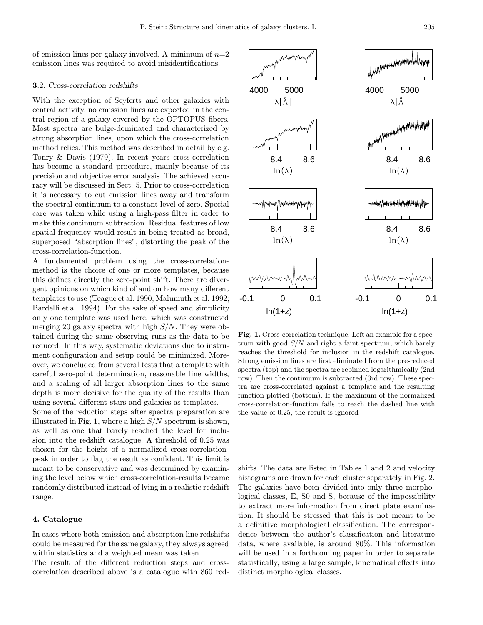of emission lines per galaxy involved. A minimum of  $n=2$ emission lines was required to avoid misidentifications.

## 3.2. Cross-correlation redshifts

With the exception of Seyferts and other galaxies with central activity, no emission lines are expected in the central region of a galaxy covered by the OPTOPUS fibers. Most spectra are bulge-dominated and characterized by strong absorption lines, upon which the cross-correlation method relies. This method was described in detail by e.g. Tonry & Davis (1979). In recent years cross-correlation has become a standard procedure, mainly because of its precision and objective error analysis. The achieved accuracy will be discussed in Sect. 5. Prior to cross-correlation it is necessary to cut emission lines away and transform the spectral continuum to a constant level of zero. Special care was taken while using a high-pass filter in order to make this continuum subtraction. Residual features of low spatial frequency would result in being treated as broad, superposed "absorption lines", distorting the peak of the cross-correlation-function.

A fundamental problem using the cross-correlationmethod is the choice of one or more templates, because this defines directly the zero-point shift. There are divergent opinions on which kind of and on how many different templates to use (Teague et al. 1990; Malumuth et al. 1992; Bardelli et al. 1994). For the sake of speed and simplicity only one template was used here, which was constructed merging 20 galaxy spectra with high  $S/N$ . They were obtained during the same observing runs as the data to be reduced. In this way, systematic deviations due to instrument configuration and setup could be minimized. Moreover, we concluded from several tests that a template with careful zero-point determination, reasonable line widths, and a scaling of all larger absorption lines to the same depth is more decisive for the quality of the results than using several different stars and galaxies as templates.

Some of the reduction steps after spectra preparation are illustrated in Fig. 1, where a high  $S/N$  spectrum is shown, as well as one that barely reached the level for inclusion into the redshift catalogue. A threshold of 0.25 was chosen for the height of a normalized cross-correlationpeak in order to flag the result as confident. This limit is meant to be conservative and was determined by examining the level below which cross-correlation-results became randomly distributed instead of lying in a realistic redshift range.

## 4. Catalogue

In cases where both emission and absorption line redshifts could be measured for the same galaxy, they always agreed within statistics and a weighted mean was taken.

The result of the different reduction steps and crosscorrelation described above is a catalogue with 860 red-

 $ln(\lambda)$  $ln(\lambda)$ -aakkiinimaanad 8.4 8.6 8.4 8.6  $ln(\lambda)$  $ln(\lambda)$ MMmmm Mhnnmmyhn MMW -0.1 0 0.1  $ln(1+z)$  $ln(1+z)$ Fig. 1. Cross-correlation technique. Left an example for a spectrum with good  $S/N$  and right a faint spectrum, which barely reaches the threshold for inclusion in the redshift catalogue. Strong emission lines are first eliminated from the pre-reduced spectra (top) and the spectra are rebinned logarithmically (2nd row). Then the continuum is subtracted (3rd row). These spectra are cross-correlated against a template and the resulting function plotted (bottom). If the maximum of the normalized cross-correlation-function fails to reach the dashed line with

shifts. The data are listed in Tables 1 and 2 and velocity histograms are drawn for each cluster separately in Fig. 2. The galaxies have been divided into only three morphological classes, E, S0 and S, because of the impossibility to extract more information from direct plate examination. It should be stressed that this is not meant to be a definitive morphological classification. The correspondence between the author's classification and literature data, where available, is around 80%. This information will be used in a forthcoming paper in order to separate statistically, using a large sample, kinematical effects into distinct morphological classes.

the value of 0.25, the result is ignored

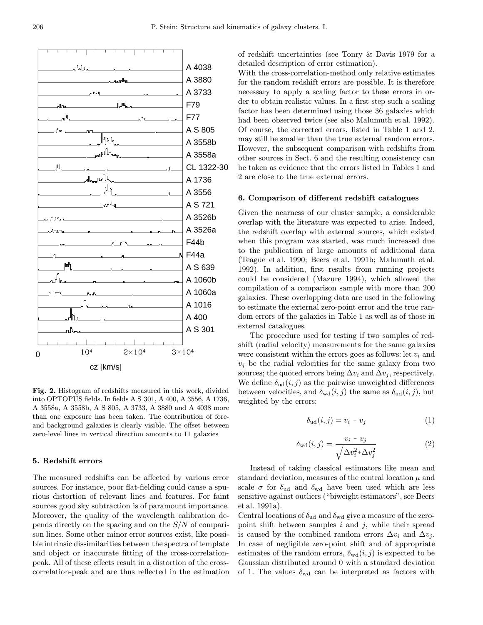

Fig. 2. Histogram of redshifts measured in this work, divided into OPTOPUS fields. In fields A S 301, A 400, A 3556, A 1736, A 3558a, A 3558b, A S 805, A 3733, A 3880 and A 4038 more than one exposure has been taken. The contribution of foreand background galaxies is clearly visible. The offset between zero-level lines in vertical direction amounts to 11 galaxies

## 5. Redshift errors

The measured redshifts can be affected by various error sources. For instance, poor flat-fielding could cause a spurious distortion of relevant lines and features. For faint sources good sky subtraction is of paramount importance. Moreover, the quality of the wavelength calibration depends directly on the spacing and on the  $S/N$  of comparison lines. Some other minor error sources exist, like possible intrinsic dissimilarities between the spectra of template and object or inaccurate fitting of the cross-correlationpeak. All of these effects result in a distortion of the crosscorrelation-peak and are thus reflected in the estimation of redshift uncertainties (see Tonry & Davis 1979 for a detailed description of error estimation).

With the cross-correlation-method only relative estimates for the random redshift errors are possible. It is therefore necessary to apply a scaling factor to these errors in order to obtain realistic values. In a first step such a scaling factor has been determined using those 36 galaxies which had been observed twice (see also Malumuth et al. 1992). Of course, the corrected errors, listed in Table 1 and 2, may still be smaller than the true external random errors. However, the subsequent comparison with redshifts from other sources in Sect. 6 and the resulting consistency can be taken as evidence that the errors listed in Tables 1 and 2 are close to the true external errors.

# 6. Comparison of different redshift catalogues

Given the nearness of our cluster sample, a considerable overlap with the literature was expected to arise. Indeed, the redshift overlap with external sources, which existed when this program was started, was much increased due to the publication of large amounts of additional data (Teague et al. 1990; Beers et al. 1991b; Malumuth et al. 1992). In addition, first results from running projects could be considered (Mazure 1994), which allowed the compilation of a comparison sample with more than 200 galaxies. These overlapping data are used in the following to estimate the external zero-point error and the true random errors of the galaxies in Table 1 as well as of those in external catalogues.

The procedure used for testing if two samples of redshift (radial velocity) measurements for the same galaxies were consistent within the errors goes as follows: let  $v_i$  and  $v_i$  be the radial velocities for the same galaxy from two sources; the quoted errors being  $\Delta v_i$  and  $\Delta v_j$ , respectively. We define  $\delta_{ud}(i, j)$  as the pairwise unweighted differences between velocities, and  $\delta_{\text{wd}}(i, j)$  the same as  $\delta_{\text{ud}}(i, j)$ , but weighted by the errors:

$$
\delta_{\rm ud}(i,j) = v_i - v_j \tag{1}
$$

$$
\delta_{\rm wd}(i,j) = \frac{v_i - v_j}{\sqrt{\Delta v_i^2 + \Delta v_j^2}}
$$
\n(2)

Instead of taking classical estimators like mean and standard deviation, measures of the central location  $\mu$  and scale  $\sigma$  for  $\delta_{\rm ud}$  and  $\delta_{\rm wd}$  have been used which are less sensitive against outliers ("biweight estimators", see Beers et al. 1991a).

Central locations of  $\delta_{ud}$  and  $\delta_{wd}$  give a measure of the zeropoint shift between samples  $i$  and  $j$ , while their spread is caused by the combined random errors  $\Delta v_i$  and  $\Delta v_j$ . In case of negligible zero-point shift and of appropriate estimates of the random errors,  $\delta_{\text{wd}}(i, j)$  is expected to be Gaussian distributed around 0 with a standard deviation of 1. The values  $\delta_{\rm wd}$  can be interpreted as factors with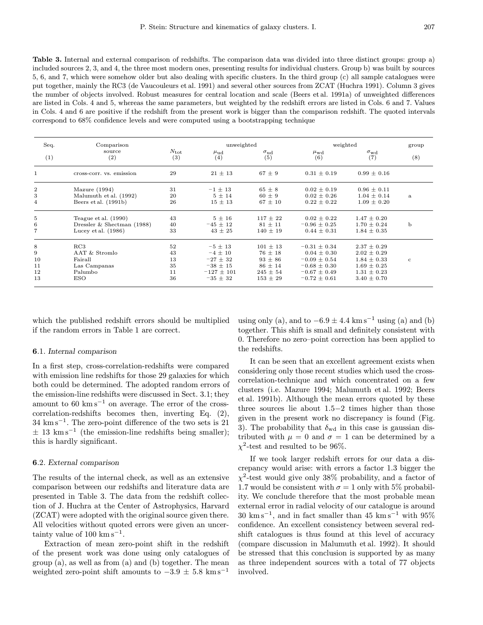Table 3. Internal and external comparison of redshifts. The comparison data was divided into three distinct groups: group a) included sources 2, 3, and 4, the three most modern ones, presenting results for individual clusters. Group b) was built by sources 5, 6, and 7, which were somehow older but also dealing with specific clusters. In the third group (c) all sample catalogues were put together, mainly the RC3 (de Vaucouleurs et al. 1991) and several other sources from ZCAT (Huchra 1991). Column 3 gives the number of objects involved. Robust measures for central location and scale (Beers et al. 1991a) of unweighted differences are listed in Cols. 4 and 5, whereas the same parameters, but weighted by the redshift errors are listed in Cols. 6 and 7. Values in Cols. 4 and 6 are positive if the redshift from the present work is bigger than the comparison redshift. The quoted intervals correspond to 68% confidence levels and were computed using a bootstrapping technique

| Seq.<br>(1)      | Comparison<br>source<br>(2)  |                      | unweighted            |                          | weighted              |                          | group        |
|------------------|------------------------------|----------------------|-----------------------|--------------------------|-----------------------|--------------------------|--------------|
|                  |                              | $N_{\rm tot}$<br>(3) | $\mu_{\rm ud}$<br>(4) | $\sigma_{\rm ud}$<br>(5) | $\mu_{\rm wd}$<br>(6) | $\sigma_{\rm wd}$<br>(7) | (8)          |
| 1                | cross-corr. vs. emission     | 29                   | $21 \pm 13$           | $67 \pm 9$               | $0.31 \pm 0.19$       | $0.99 \pm 0.16$          |              |
| $\overline{2}$   | Mazure $(1994)$              | 31                   | $-1 \pm 13$           | $65 \pm 8$               | $0.02 \pm 0.19$       | $0.96 \pm 0.11$          | a            |
| 3                | Malumuth et al. (1992)       | 20                   | $5 \pm 14$            | $60 \pm 9$               | $0.02 \pm 0.26$       | $1.04 \pm 0.14$          |              |
| $\overline{4}$   | Beers et al. (1991b)         | 26                   | $15 \pm 13$           | $67 \pm 10$              | $0.22 \pm 0.22$       | $1.09 \pm 0.20$          |              |
| 5                | Teague et al. $(1990)$       | 43                   | $5\pm16$              | $117 \pm 22$             | $0.02 \pm 0.22$       | $1.47 \pm 0.20$          | b            |
| 6                | Dressler & Shectman $(1988)$ | 40                   | $-45 \pm 12$          | $81 \pm 11$              | $-0.96 \pm 0.25$      | $1.70 \pm 0.24$          |              |
| $\overline{7}$   | Lucey et al. $(1986)$        | 33                   | $43 \pm 25$           | $140 \pm 19$             | $0.44 \pm 0.31$       | $1.84 \pm 0.35$          |              |
| 8                | RC3                          | 52                   | $-5 \pm 13$           | $101 \pm 13$             | $-0.31 \pm 0.34$      | $2.37 \pm 0.29$          | $\mathbf{c}$ |
| $\boldsymbol{9}$ | AAT & Stromlo                | 43                   | $-4 \pm 10$           | $76 \pm 18$              | $0.04 \pm 0.30$       | $2.02 \pm 0.29$          |              |
| 10               | Fairall                      | 13                   | $-27 \pm 32$          | $93 \pm 86$              | $-0.09 \pm 0.54$      | $1.84 \pm 0.33$          |              |
| 11               | Las Campanas                 | 35                   | $-38 \pm 15$          | $86 \pm 14$              | $-0.68 \pm 0.30$      | $1.69 \pm 0.25$          |              |
| 12               | Palumbo                      | 11                   | $-127 \pm 101$        | $245 \pm 54$             | $-0.67 \pm 0.49$      | $1.31 \pm 0.23$          |              |
| 13               | <b>ESO</b>                   | 36                   | $-35 \pm 32$          | $153 \pm 29$             | $-0.72 \pm 0.61$      | $3.40 \pm 0.70$          |              |

which the published redshift errors should be multiplied if the random errors in Table 1 are correct.

#### 6.1. Internal comparison

In a first step, cross-correlation-redshifts were compared with emission line redshifts for those 29 galaxies for which both could be determined. The adopted random errors of the emission-line redshifts were discussed in Sect. 3.1; they amount to  $60 \text{ km s}^{-1}$  on average. The error of the crosscorrelation-redshifts becomes then, inverting Eq. (2),  $34 \text{ km s}^{-1}$ . The zero-point difference of the two sets is 21  $\pm$  13 km s<sup>-1</sup> (the emission-line redshifts being smaller); this is hardly significant.

#### 6.2. External comparison

The results of the internal check, as well as an extensive comparison between our redshifts and literature data are presented in Table 3. The data from the redshift collection of J. Huchra at the Center of Astrophysics, Harvard (ZCAT) were adopted with the original source given there. All velocities without quoted errors were given an uncertainty value of  $100 \text{ km s}^{-1}$ .

Extraction of mean zero-point shift in the redshift of the present work was done using only catalogues of group (a), as well as from (a) and (b) together. The mean weighted zero-point shift amounts to  $-3.9 \pm 5.8$  km s<sup>-1</sup>

using only (a), and to  $-6.9 \pm 4.4$  km s<sup>-1</sup> using (a) and (b) together. This shift is small and definitely consistent with 0. Therefore no zero–point correction has been applied to the redshifts.

It can be seen that an excellent agreement exists when considering only those recent studies which used the crosscorrelation-technique and which concentrated on a few clusters (i.e. Mazure 1994; Malumuth et al. 1992; Beers et al. 1991b). Although the mean errors quoted by these three sources lie about 1.5−2 times higher than those given in the present work no discrepancy is found (Fig. 3). The probability that  $\delta_{\text{wd}}$  in this case is gaussian distributed with  $\mu = 0$  and  $\sigma = 1$  can be determined by a  $\chi^2$ -test and resulted to be 96%.

If we took larger redshift errors for our data a discrepancy would arise: with errors a factor 1.3 bigger the  $\chi^2$ -test would give only 38% probability, and a factor of 1.7 would be consistent with  $\sigma = 1$  only with 5% probability. We conclude therefore that the most probable mean external error in radial velocity of our catalogue is around  $30 \text{ km s}^{-1}$ , and in fact smaller than 45 km s<sup>-1</sup> with 95% confidence. An excellent consistency between several redshift catalogues is thus found at this level of accuracy (compare discussion in Malumuth et al. 1992). It should be stressed that this conclusion is supported by as many as three independent sources with a total of 77 objects involved.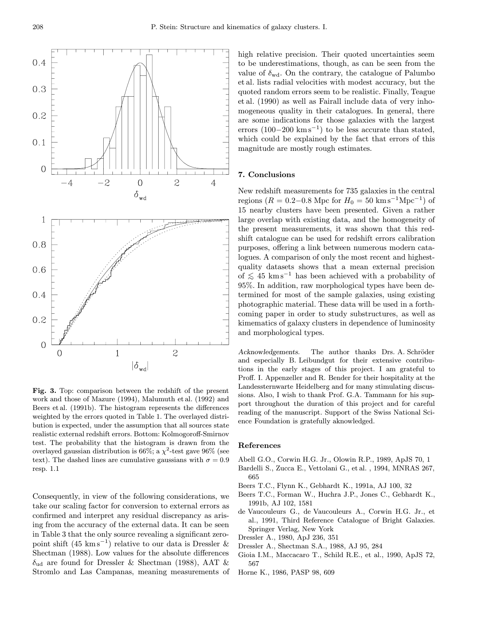

Fig. 3. Top: comparison between the redshift of the present work and those of Mazure (1994), Malumuth et al. (1992) and Beers et al. (1991b). The histogram represents the differences weighted by the errors quoted in Table 1. The overlayed distribution is expected, under the assumption that all sources state realistic external redshift errors. Bottom: Kolmogoroff-Smirnov test. The probability that the histogram is drawn from the overlayed gaussian distribution is 66%; a  $\chi^2$ -test gave 96% (see text). The dashed lines are cumulative gaussians with  $\sigma = 0.9$ resp. 1.1

Consequently, in view of the following considerations, we take our scaling factor for conversion to external errors as confirmed and interpret any residual discrepancy as arising from the accuracy of the external data. It can be seen in Table 3 that the only source revealing a significant zeropoint shift  $(45 \text{ km s}^{-1})$  relative to our data is Dressler & Shectman (1988). Low values for the absolute differences  $\delta_{\rm ud}$  are found for Dressler & Shectman (1988), AAT & Stromlo and Las Campanas, meaning measurements of high relative precision. Their quoted uncertainties seem to be underestimations, though, as can be seen from the value of  $\delta_{\text{wd}}$ . On the contrary, the catalogue of Palumbo et al. lists radial velocities with modest accuracy, but the quoted random errors seem to be realistic. Finally, Teague et al. (1990) as well as Fairall include data of very inhomogeneous quality in their catalogues. In general, there are some indications for those galaxies with the largest errors  $(100-200 \text{ km s}^{-1})$  to be less accurate than stated, which could be explained by the fact that errors of this magnitude are mostly rough estimates.

#### 7. Conclusions

New redshift measurements for 735 galaxies in the central regions ( $R = 0.2{\text -}0.8$  Mpc for  $H_0 = 50$  km s<sup>-1</sup>Mpc<sup>-1</sup>) of 15 nearby clusters have been presented. Given a rather large overlap with existing data, and the homogeneity of the present measurements, it was shown that this redshift catalogue can be used for redshift errors calibration purposes, offering a link between numerous modern catalogues. A comparison of only the most recent and highestquality datasets shows that a mean external precision of  $≤$  45 km s<sup>-1</sup> has been achieved with a probability of 95%. In addition, raw morphological types have been determined for most of the sample galaxies, using existing photographic material. These data will be used in a forthcoming paper in order to study substructures, as well as kimematics of galaxy clusters in dependence of luminosity and morphological types.

Acknowledgements. The author thanks Drs. A. Schröder and especially B. Leibundgut for their extensive contributions in the early stages of this project. I am grateful to Proff. I. Appenzeller and R. Bender for their hospitality at the Landessternwarte Heidelberg and for many stimulating discussions. Also, I wish to thank Prof. G.A. Tammann for his support throughout the duration of this project and for careful reading of the manuscript. Support of the Swiss National Science Foundation is gratefully aknowledged.

#### References

- Abell G.O., Corwin H.G. Jr., Olowin R.P., 1989, ApJS 70, 1
- Bardelli S., Zucca E., Vettolani G., et al. , 1994, MNRAS 267, 665
- Beers T.C., Flynn K., Gebhardt K., 1991a, AJ 100, 32
- Beers T.C., Forman W., Huchra J.P., Jones C., Gebhardt K., 1991b, AJ 102, 1581
- de Vaucouleurs G., de Vaucouleurs A., Corwin H.G. Jr., et al., 1991, Third Reference Catalogue of Bright Galaxies. Springer Verlag, New York
- Dressler A., 1980, ApJ 236, 351
- Dressler A., Shectman S.A., 1988, AJ 95, 284
- Gioia I.M., Maccacaro T., Schild R.E., et al., 1990, ApJS 72, 567
- Horne K., 1986, PASP 98, 609